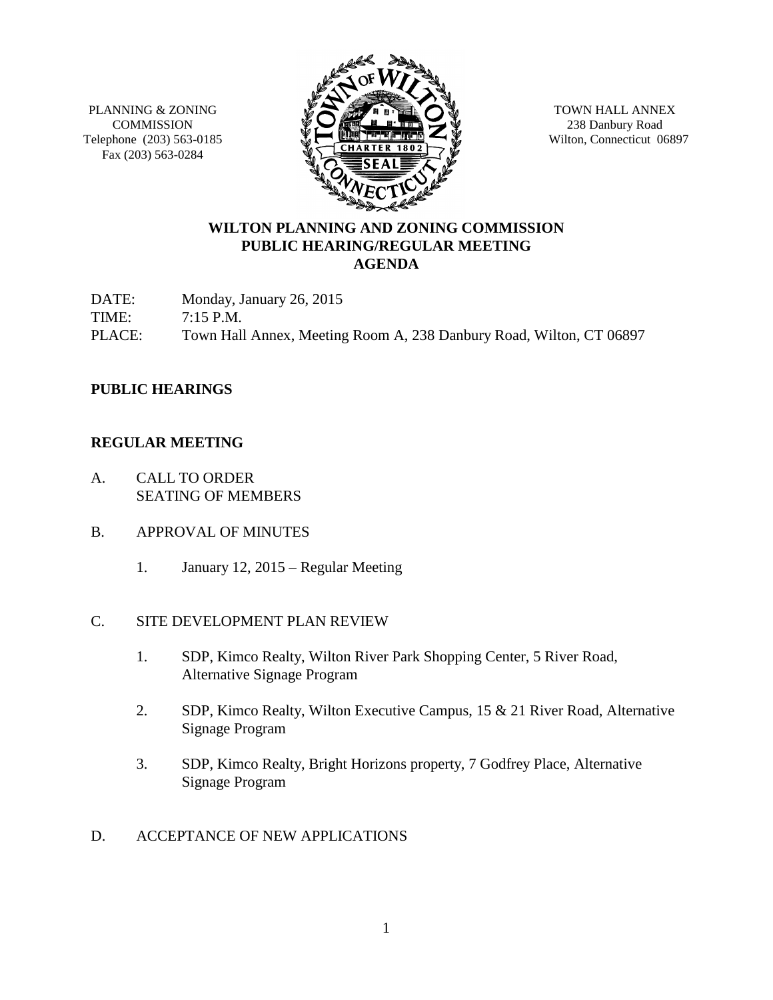PLANNING & ZONING **COMMISSION** Telephone (203) 563-0185 Fax (203) 563-0284



TOWN HALL ANNEX 238 Danbury Road Wilton, Connecticut 06897

# **WILTON PLANNING AND ZONING COMMISSION PUBLIC HEARING/REGULAR MEETING AGENDA**

DATE: Monday, January 26, 2015 TIME: 7:15 P.M. PLACE: Town Hall Annex, Meeting Room A, 238 Danbury Road, Wilton, CT 06897

## **PUBLIC HEARINGS**

#### **REGULAR MEETING**

- A. CALL TO ORDER SEATING OF MEMBERS
- B. APPROVAL OF MINUTES
	- 1. January 12, 2015 Regular Meeting

#### C. SITE DEVELOPMENT PLAN REVIEW

- 1. SDP, Kimco Realty, Wilton River Park Shopping Center, 5 River Road, Alternative Signage Program
- 2. SDP, Kimco Realty, Wilton Executive Campus, 15 & 21 River Road, Alternative Signage Program
- 3. SDP, Kimco Realty, Bright Horizons property, 7 Godfrey Place, Alternative Signage Program

## D. ACCEPTANCE OF NEW APPLICATIONS